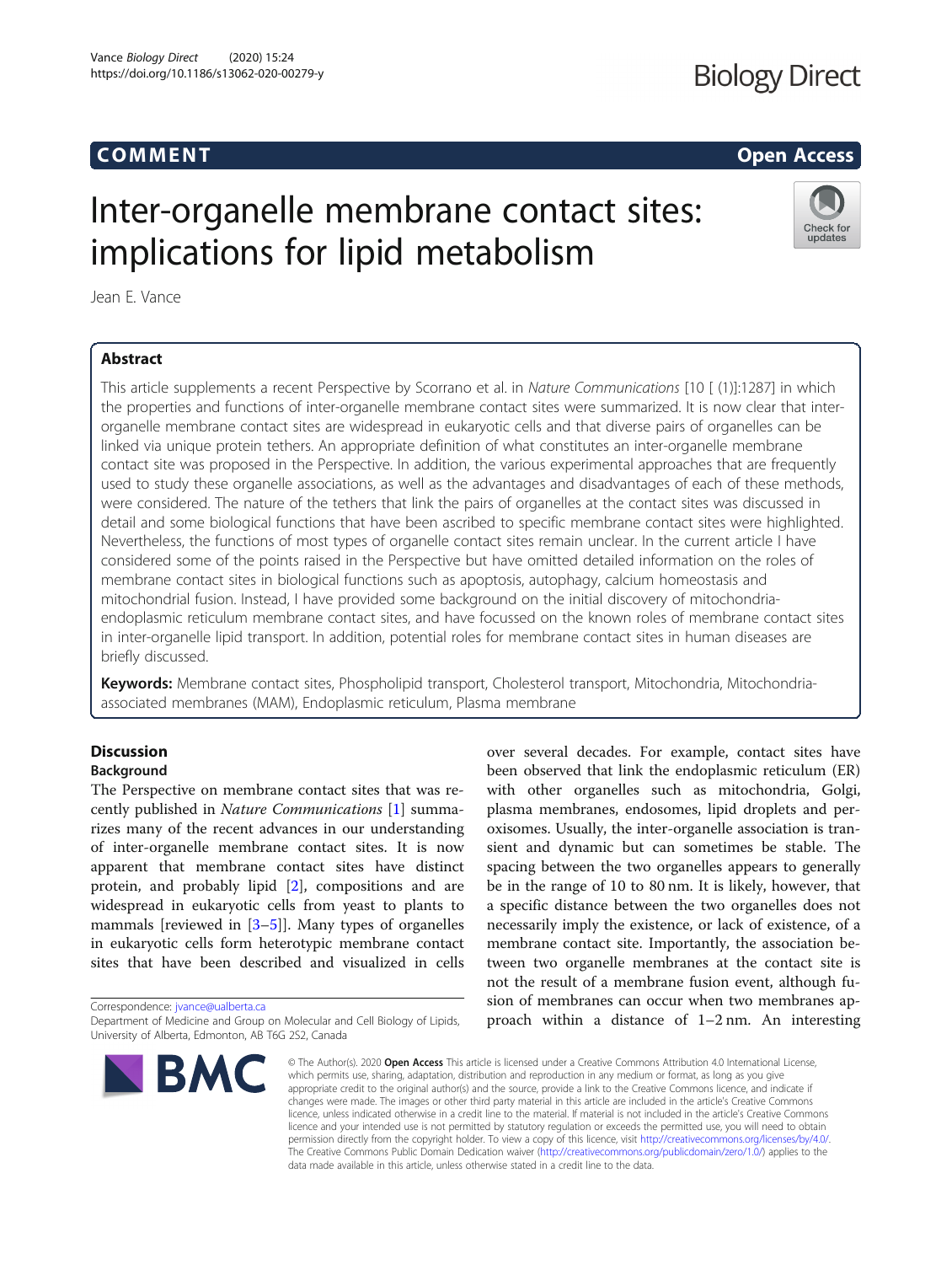## **Biology Direct**

## Communication of the communication of the communication of the communication of the communication of the communication of the communication of the communication of the communication of the communication of the communicatio

Check for updates

# Inter-organelle membrane contact sites: implications for lipid metabolism

Jean E. Vance

### **Abstract**

This article supplements a recent Perspective by Scorrano et al. in Nature Communications [10 [ (1)]:1287] in which the properties and functions of inter-organelle membrane contact sites were summarized. It is now clear that interorganelle membrane contact sites are widespread in eukaryotic cells and that diverse pairs of organelles can be linked via unique protein tethers. An appropriate definition of what constitutes an inter-organelle membrane contact site was proposed in the Perspective. In addition, the various experimental approaches that are frequently used to study these organelle associations, as well as the advantages and disadvantages of each of these methods, were considered. The nature of the tethers that link the pairs of organelles at the contact sites was discussed in detail and some biological functions that have been ascribed to specific membrane contact sites were highlighted. Nevertheless, the functions of most types of organelle contact sites remain unclear. In the current article I have considered some of the points raised in the Perspective but have omitted detailed information on the roles of membrane contact sites in biological functions such as apoptosis, autophagy, calcium homeostasis and mitochondrial fusion. Instead, I have provided some background on the initial discovery of mitochondriaendoplasmic reticulum membrane contact sites, and have focussed on the known roles of membrane contact sites in inter-organelle lipid transport. In addition, potential roles for membrane contact sites in human diseases are briefly discussed.

Keywords: Membrane contact sites, Phospholipid transport, Cholesterol transport, Mitochondria, Mitochondriaassociated membranes (MAM), Endoplasmic reticulum, Plasma membrane

## Discussion Background

The Perspective on membrane contact sites that was recently published in Nature Communications [[1\]](#page-6-0) summarizes many of the recent advances in our understanding of inter-organelle membrane contact sites. It is now apparent that membrane contact sites have distinct protein, and probably lipid [\[2\]](#page-6-0), compositions and are widespread in eukaryotic cells from yeast to plants to mammals [reviewed in [[3](#page-6-0)–[5\]](#page-6-0)]. Many types of organelles in eukaryotic cells form heterotypic membrane contact sites that have been described and visualized in cells

Correspondence: [jvance@ualberta.ca](mailto:jvance@ualberta.ca)

Department of Medicine and Group on Molecular and Cell Biology of Lipids, University of Alberta, Edmonton, AB T6G 2S2, Canada



over several decades. For example, contact sites have been observed that link the endoplasmic reticulum (ER) with other organelles such as mitochondria, Golgi, plasma membranes, endosomes, lipid droplets and peroxisomes. Usually, the inter-organelle association is transient and dynamic but can sometimes be stable. The spacing between the two organelles appears to generally be in the range of 10 to 80 nm. It is likely, however, that a specific distance between the two organelles does not necessarily imply the existence, or lack of existence, of a membrane contact site. Importantly, the association between two organelle membranes at the contact site is not the result of a membrane fusion event, although fusion of membranes can occur when two membranes approach within a distance of 1–2 nm. An interesting

© The Author(s), 2020 **Open Access** This article is licensed under a Creative Commons Attribution 4.0 International License, which permits use, sharing, adaptation, distribution and reproduction in any medium or format, as long as you give appropriate credit to the original author(s) and the source, provide a link to the Creative Commons licence, and indicate if changes were made. The images or other third party material in this article are included in the article's Creative Commons licence, unless indicated otherwise in a credit line to the material. If material is not included in the article's Creative Commons licence and your intended use is not permitted by statutory regulation or exceeds the permitted use, you will need to obtain permission directly from the copyright holder. To view a copy of this licence, visit [http://creativecommons.org/licenses/by/4.0/.](http://creativecommons.org/licenses/by/4.0/) The Creative Commons Public Domain Dedication waiver [\(http://creativecommons.org/publicdomain/zero/1.0/](http://creativecommons.org/publicdomain/zero/1.0/)) applies to the data made available in this article, unless otherwise stated in a credit line to the data.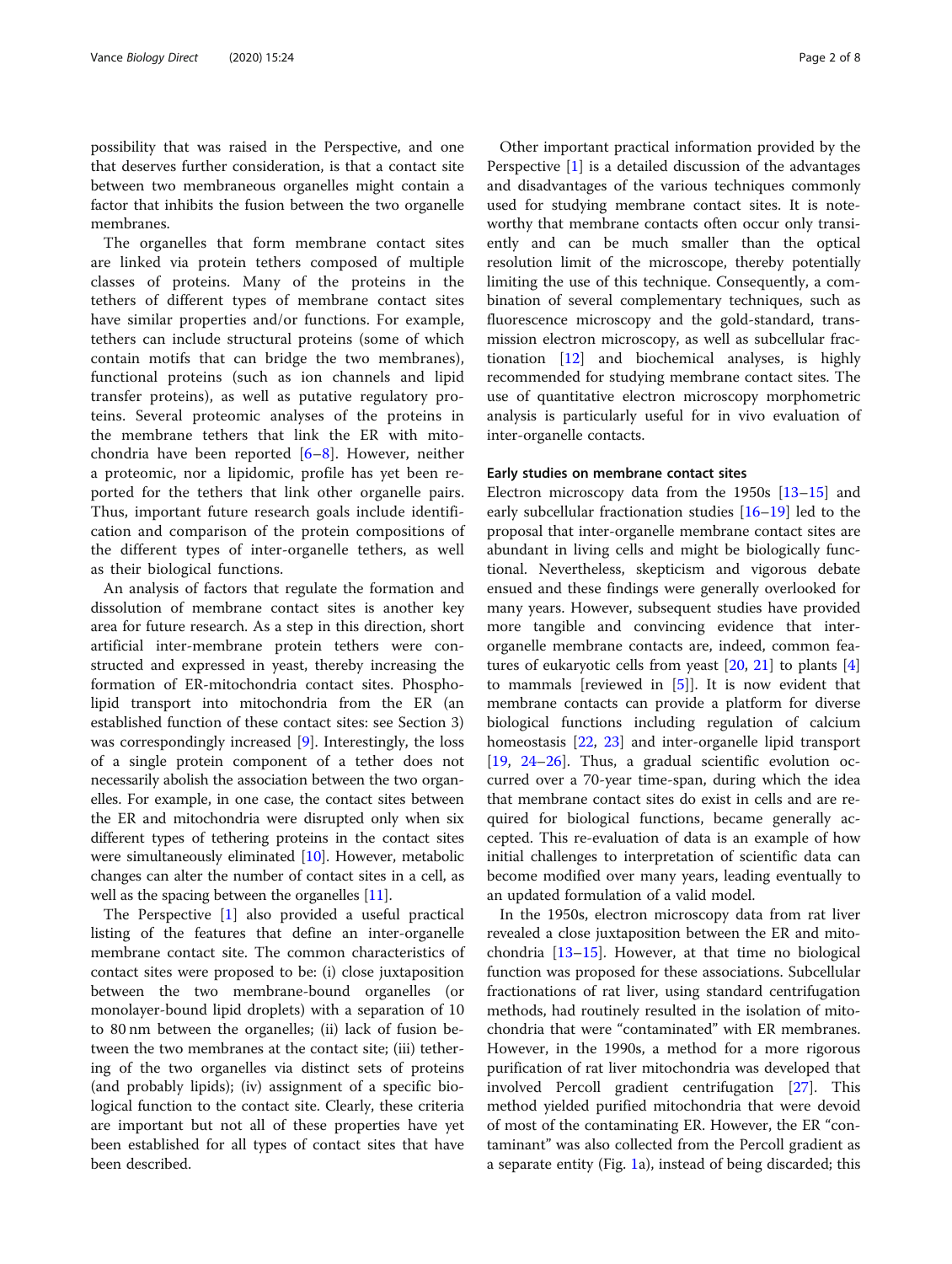possibility that was raised in the Perspective, and one that deserves further consideration, is that a contact site between two membraneous organelles might contain a factor that inhibits the fusion between the two organelle membranes.

The organelles that form membrane contact sites are linked via protein tethers composed of multiple classes of proteins. Many of the proteins in the tethers of different types of membrane contact sites have similar properties and/or functions. For example, tethers can include structural proteins (some of which contain motifs that can bridge the two membranes), functional proteins (such as ion channels and lipid transfer proteins), as well as putative regulatory proteins. Several proteomic analyses of the proteins in the membrane tethers that link the ER with mitochondria have been reported [\[6](#page-6-0)–[8](#page-6-0)]. However, neither a proteomic, nor a lipidomic, profile has yet been reported for the tethers that link other organelle pairs. Thus, important future research goals include identification and comparison of the protein compositions of the different types of inter-organelle tethers, as well as their biological functions.

An analysis of factors that regulate the formation and dissolution of membrane contact sites is another key area for future research. As a step in this direction, short artificial inter-membrane protein tethers were constructed and expressed in yeast, thereby increasing the formation of ER-mitochondria contact sites. Phospholipid transport into mitochondria from the ER (an established function of these contact sites: see Section 3) was correspondingly increased [[9\]](#page-6-0). Interestingly, the loss of a single protein component of a tether does not necessarily abolish the association between the two organelles. For example, in one case, the contact sites between the ER and mitochondria were disrupted only when six different types of tethering proteins in the contact sites were simultaneously eliminated [\[10\]](#page-6-0). However, metabolic changes can alter the number of contact sites in a cell, as well as the spacing between the organelles [[11](#page-6-0)].

The Perspective [[1\]](#page-6-0) also provided a useful practical listing of the features that define an inter-organelle membrane contact site. The common characteristics of contact sites were proposed to be: (i) close juxtaposition between the two membrane-bound organelles (or monolayer-bound lipid droplets) with a separation of 10 to 80 nm between the organelles; (ii) lack of fusion between the two membranes at the contact site; (iii) tethering of the two organelles via distinct sets of proteins (and probably lipids); (iv) assignment of a specific biological function to the contact site. Clearly, these criteria are important but not all of these properties have yet been established for all types of contact sites that have been described.

Other important practical information provided by the Perspective [\[1](#page-6-0)] is a detailed discussion of the advantages and disadvantages of the various techniques commonly used for studying membrane contact sites. It is noteworthy that membrane contacts often occur only transiently and can be much smaller than the optical resolution limit of the microscope, thereby potentially limiting the use of this technique. Consequently, a combination of several complementary techniques, such as fluorescence microscopy and the gold-standard, transmission electron microscopy, as well as subcellular fractionation [\[12](#page-6-0)] and biochemical analyses, is highly recommended for studying membrane contact sites. The use of quantitative electron microscopy morphometric analysis is particularly useful for in vivo evaluation of inter-organelle contacts.

### Early studies on membrane contact sites

Electron microscopy data from the 1950s  $[13-15]$  $[13-15]$  $[13-15]$  and early subcellular fractionation studies [[16](#page-6-0)–[19\]](#page-6-0) led to the proposal that inter-organelle membrane contact sites are abundant in living cells and might be biologically functional. Nevertheless, skepticism and vigorous debate ensued and these findings were generally overlooked for many years. However, subsequent studies have provided more tangible and convincing evidence that interorganelle membrane contacts are, indeed, common features of eukaryotic cells from yeast [\[20](#page-6-0), [21](#page-6-0)] to plants [\[4](#page-6-0)] to mammals [reviewed in [[5](#page-6-0)]]. It is now evident that membrane contacts can provide a platform for diverse biological functions including regulation of calcium homeostasis [[22,](#page-6-0) [23\]](#page-6-0) and inter-organelle lipid transport [[19,](#page-6-0) [24](#page-6-0)–[26\]](#page-6-0). Thus, a gradual scientific evolution occurred over a 70-year time-span, during which the idea that membrane contact sites do exist in cells and are required for biological functions, became generally accepted. This re-evaluation of data is an example of how initial challenges to interpretation of scientific data can become modified over many years, leading eventually to an updated formulation of a valid model.

In the 1950s, electron microscopy data from rat liver revealed a close juxtaposition between the ER and mitochondria [[13](#page-6-0)–[15](#page-6-0)]. However, at that time no biological function was proposed for these associations. Subcellular fractionations of rat liver, using standard centrifugation methods, had routinely resulted in the isolation of mitochondria that were "contaminated" with ER membranes. However, in the 1990s, a method for a more rigorous purification of rat liver mitochondria was developed that involved Percoll gradient centrifugation [\[27](#page-6-0)]. This method yielded purified mitochondria that were devoid of most of the contaminating ER. However, the ER "contaminant" was also collected from the Percoll gradient as a separate entity (Fig. [1a](#page-2-0)), instead of being discarded; this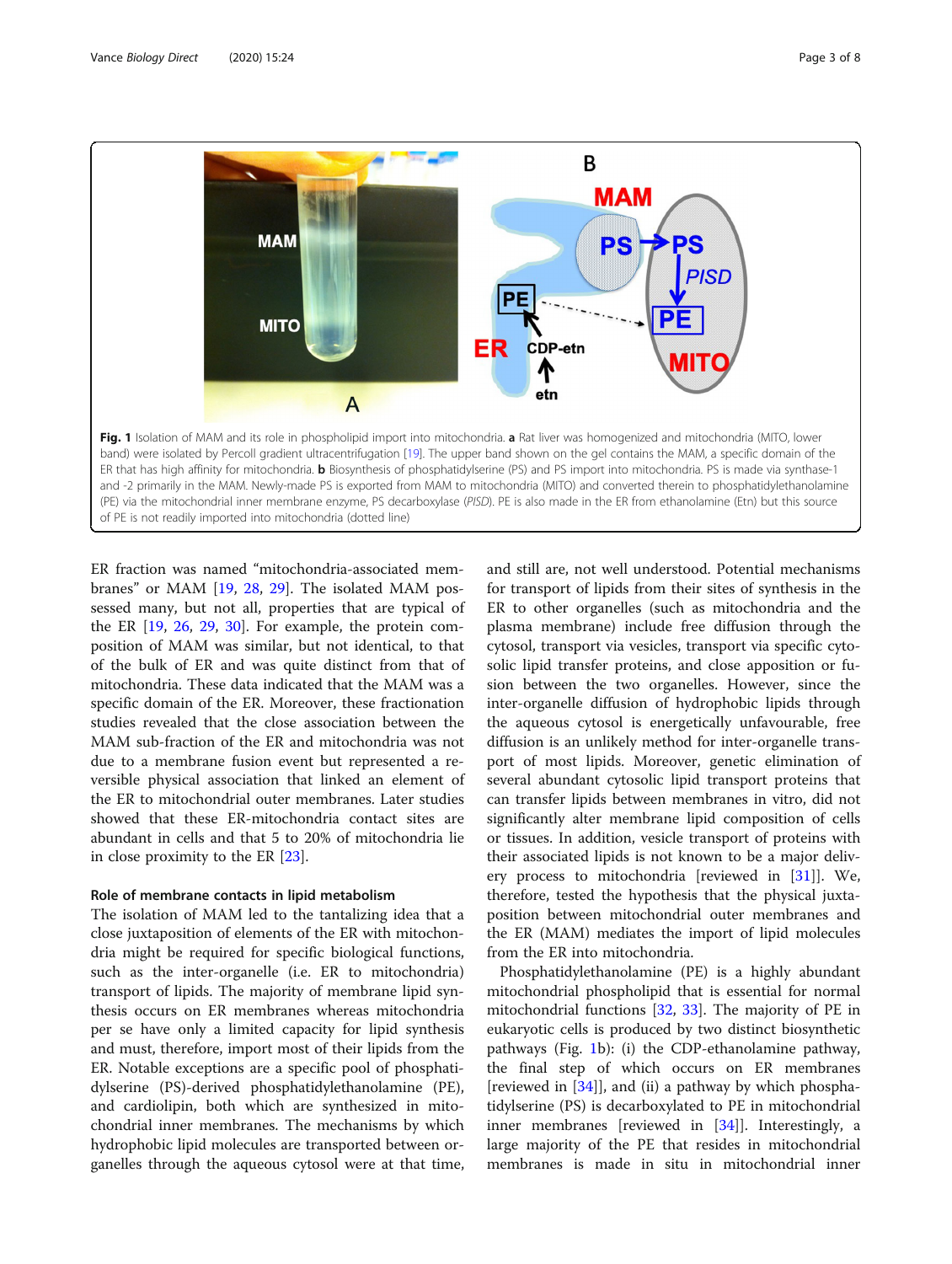<span id="page-2-0"></span>

ER fraction was named "mitochondria-associated membranes" or MAM [[19](#page-6-0), [28](#page-6-0), [29](#page-6-0)]. The isolated MAM possessed many, but not all, properties that are typical of the ER [[19](#page-6-0), [26,](#page-6-0) [29,](#page-6-0) [30\]](#page-6-0). For example, the protein composition of MAM was similar, but not identical, to that of the bulk of ER and was quite distinct from that of mitochondria. These data indicated that the MAM was a specific domain of the ER. Moreover, these fractionation studies revealed that the close association between the MAM sub-fraction of the ER and mitochondria was not due to a membrane fusion event but represented a reversible physical association that linked an element of the ER to mitochondrial outer membranes. Later studies showed that these ER-mitochondria contact sites are abundant in cells and that 5 to 20% of mitochondria lie in close proximity to the ER [\[23\]](#page-6-0).

#### Role of membrane contacts in lipid metabolism

The isolation of MAM led to the tantalizing idea that a close juxtaposition of elements of the ER with mitochondria might be required for specific biological functions, such as the inter-organelle (i.e. ER to mitochondria) transport of lipids. The majority of membrane lipid synthesis occurs on ER membranes whereas mitochondria per se have only a limited capacity for lipid synthesis and must, therefore, import most of their lipids from the ER. Notable exceptions are a specific pool of phosphatidylserine (PS)-derived phosphatidylethanolamine (PE), and cardiolipin, both which are synthesized in mitochondrial inner membranes. The mechanisms by which hydrophobic lipid molecules are transported between organelles through the aqueous cytosol were at that time, and still are, not well understood. Potential mechanisms for transport of lipids from their sites of synthesis in the ER to other organelles (such as mitochondria and the plasma membrane) include free diffusion through the cytosol, transport via vesicles, transport via specific cytosolic lipid transfer proteins, and close apposition or fusion between the two organelles. However, since the inter-organelle diffusion of hydrophobic lipids through the aqueous cytosol is energetically unfavourable, free diffusion is an unlikely method for inter-organelle transport of most lipids. Moreover, genetic elimination of several abundant cytosolic lipid transport proteins that can transfer lipids between membranes in vitro, did not significantly alter membrane lipid composition of cells or tissues. In addition, vesicle transport of proteins with their associated lipids is not known to be a major delivery process to mitochondria [reviewed in [[31\]](#page-6-0)]. We, therefore, tested the hypothesis that the physical juxtaposition between mitochondrial outer membranes and the ER (MAM) mediates the import of lipid molecules from the ER into mitochondria.

Phosphatidylethanolamine (PE) is a highly abundant mitochondrial phospholipid that is essential for normal mitochondrial functions [\[32](#page-6-0), [33\]](#page-6-0). The majority of PE in eukaryotic cells is produced by two distinct biosynthetic pathways (Fig. 1b): (i) the CDP-ethanolamine pathway, the final step of which occurs on ER membranes [reviewed in [\[34](#page-6-0)]], and (ii) a pathway by which phosphatidylserine (PS) is decarboxylated to PE in mitochondrial inner membranes [reviewed in [[34\]](#page-6-0)]. Interestingly, a large majority of the PE that resides in mitochondrial membranes is made in situ in mitochondrial inner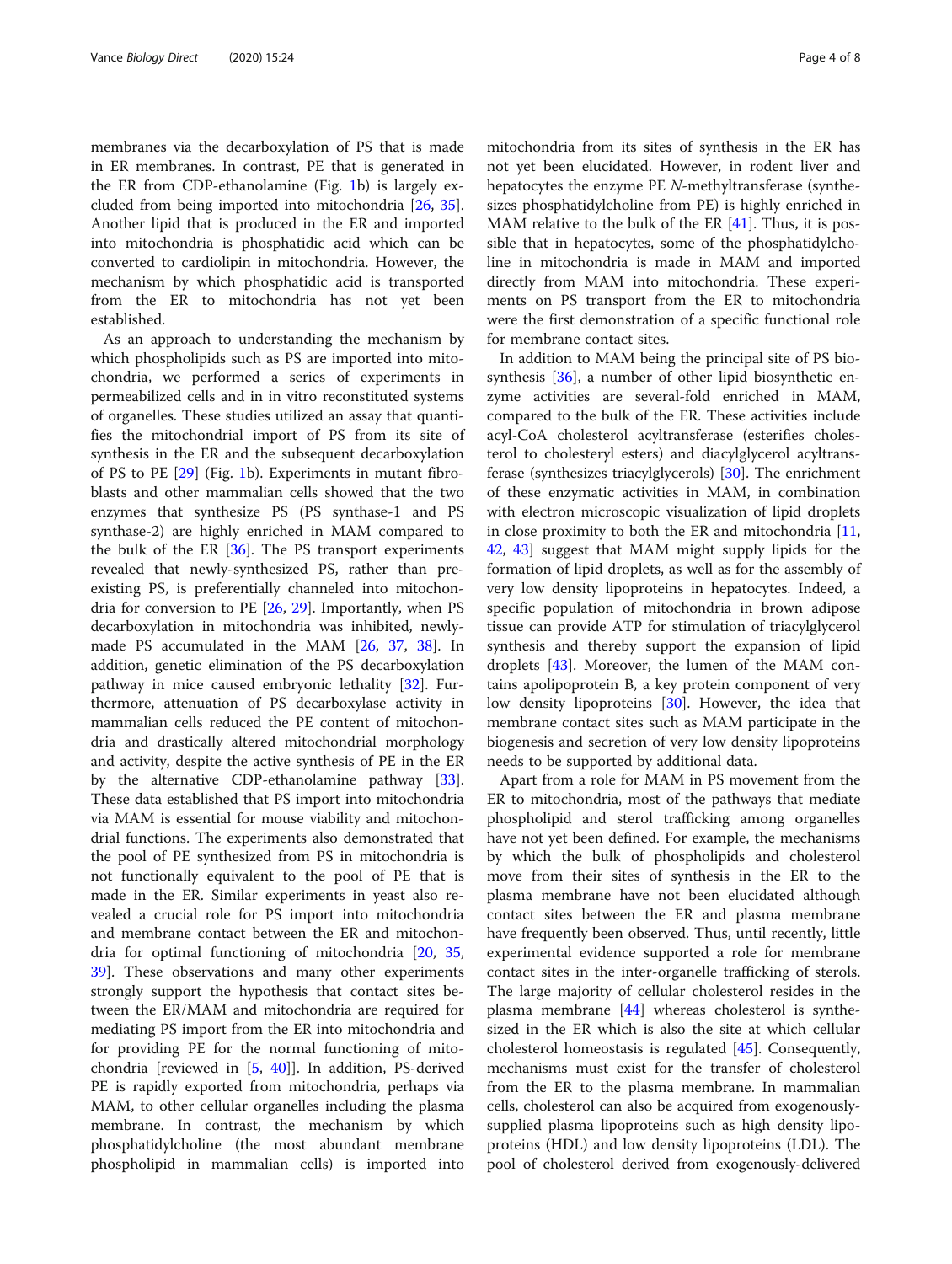membranes via the decarboxylation of PS that is made in ER membranes. In contrast, PE that is generated in the ER from CDP-ethanolamine (Fig. [1](#page-2-0)b) is largely excluded from being imported into mitochondria [[26,](#page-6-0) [35](#page-6-0)]. Another lipid that is produced in the ER and imported into mitochondria is phosphatidic acid which can be converted to cardiolipin in mitochondria. However, the mechanism by which phosphatidic acid is transported from the ER to mitochondria has not yet been established.

As an approach to understanding the mechanism by which phospholipids such as PS are imported into mitochondria, we performed a series of experiments in permeabilized cells and in in vitro reconstituted systems of organelles. These studies utilized an assay that quantifies the mitochondrial import of PS from its site of synthesis in the ER and the subsequent decarboxylation of PS to PE [[29\]](#page-6-0) (Fig. [1](#page-2-0)b). Experiments in mutant fibroblasts and other mammalian cells showed that the two enzymes that synthesize PS (PS synthase-1 and PS synthase-2) are highly enriched in MAM compared to the bulk of the ER  $[36]$ . The PS transport experiments revealed that newly-synthesized PS, rather than preexisting PS, is preferentially channeled into mitochondria for conversion to PE [\[26](#page-6-0), [29](#page-6-0)]. Importantly, when PS decarboxylation in mitochondria was inhibited, newlymade PS accumulated in the MAM [\[26](#page-6-0), [37,](#page-6-0) [38\]](#page-6-0). In addition, genetic elimination of the PS decarboxylation pathway in mice caused embryonic lethality [[32\]](#page-6-0). Furthermore, attenuation of PS decarboxylase activity in mammalian cells reduced the PE content of mitochondria and drastically altered mitochondrial morphology and activity, despite the active synthesis of PE in the ER by the alternative CDP-ethanolamine pathway [\[33](#page-6-0)]. These data established that PS import into mitochondria via MAM is essential for mouse viability and mitochondrial functions. The experiments also demonstrated that the pool of PE synthesized from PS in mitochondria is not functionally equivalent to the pool of PE that is made in the ER. Similar experiments in yeast also revealed a crucial role for PS import into mitochondria and membrane contact between the ER and mitochondria for optimal functioning of mitochondria [\[20,](#page-6-0) [35](#page-6-0), [39\]](#page-6-0). These observations and many other experiments strongly support the hypothesis that contact sites between the ER/MAM and mitochondria are required for mediating PS import from the ER into mitochondria and for providing PE for the normal functioning of mitochondria [reviewed in [\[5](#page-6-0), [40](#page-6-0)]]. In addition, PS-derived PE is rapidly exported from mitochondria, perhaps via MAM, to other cellular organelles including the plasma membrane. In contrast, the mechanism by which phosphatidylcholine (the most abundant membrane phospholipid in mammalian cells) is imported into

mitochondria from its sites of synthesis in the ER has not yet been elucidated. However, in rodent liver and hepatocytes the enzyme PE N-methyltransferase (synthesizes phosphatidylcholine from PE) is highly enriched in MAM relative to the bulk of the ER [\[41](#page-6-0)]. Thus, it is possible that in hepatocytes, some of the phosphatidylcholine in mitochondria is made in MAM and imported directly from MAM into mitochondria. These experiments on PS transport from the ER to mitochondria were the first demonstration of a specific functional role for membrane contact sites.

In addition to MAM being the principal site of PS bio-synthesis [\[36](#page-6-0)], a number of other lipid biosynthetic enzyme activities are several-fold enriched in MAM, compared to the bulk of the ER. These activities include acyl-CoA cholesterol acyltransferase (esterifies cholesterol to cholesteryl esters) and diacylglycerol acyltransferase (synthesizes triacylglycerols) [[30](#page-6-0)]. The enrichment of these enzymatic activities in MAM, in combination with electron microscopic visualization of lipid droplets in close proximity to both the ER and mitochondria  $[11,$  $[11,$  $[11,$ [42,](#page-6-0) [43](#page-6-0)] suggest that MAM might supply lipids for the formation of lipid droplets, as well as for the assembly of very low density lipoproteins in hepatocytes. Indeed, a specific population of mitochondria in brown adipose tissue can provide ATP for stimulation of triacylglycerol synthesis and thereby support the expansion of lipid droplets [[43](#page-6-0)]. Moreover, the lumen of the MAM contains apolipoprotein B, a key protein component of very low density lipoproteins [[30\]](#page-6-0). However, the idea that membrane contact sites such as MAM participate in the biogenesis and secretion of very low density lipoproteins needs to be supported by additional data.

Apart from a role for MAM in PS movement from the ER to mitochondria, most of the pathways that mediate phospholipid and sterol trafficking among organelles have not yet been defined. For example, the mechanisms by which the bulk of phospholipids and cholesterol move from their sites of synthesis in the ER to the plasma membrane have not been elucidated although contact sites between the ER and plasma membrane have frequently been observed. Thus, until recently, little experimental evidence supported a role for membrane contact sites in the inter-organelle trafficking of sterols. The large majority of cellular cholesterol resides in the plasma membrane [[44\]](#page-6-0) whereas cholesterol is synthesized in the ER which is also the site at which cellular cholesterol homeostasis is regulated [[45](#page-6-0)]. Consequently, mechanisms must exist for the transfer of cholesterol from the ER to the plasma membrane. In mammalian cells, cholesterol can also be acquired from exogenouslysupplied plasma lipoproteins such as high density lipoproteins (HDL) and low density lipoproteins (LDL). The pool of cholesterol derived from exogenously-delivered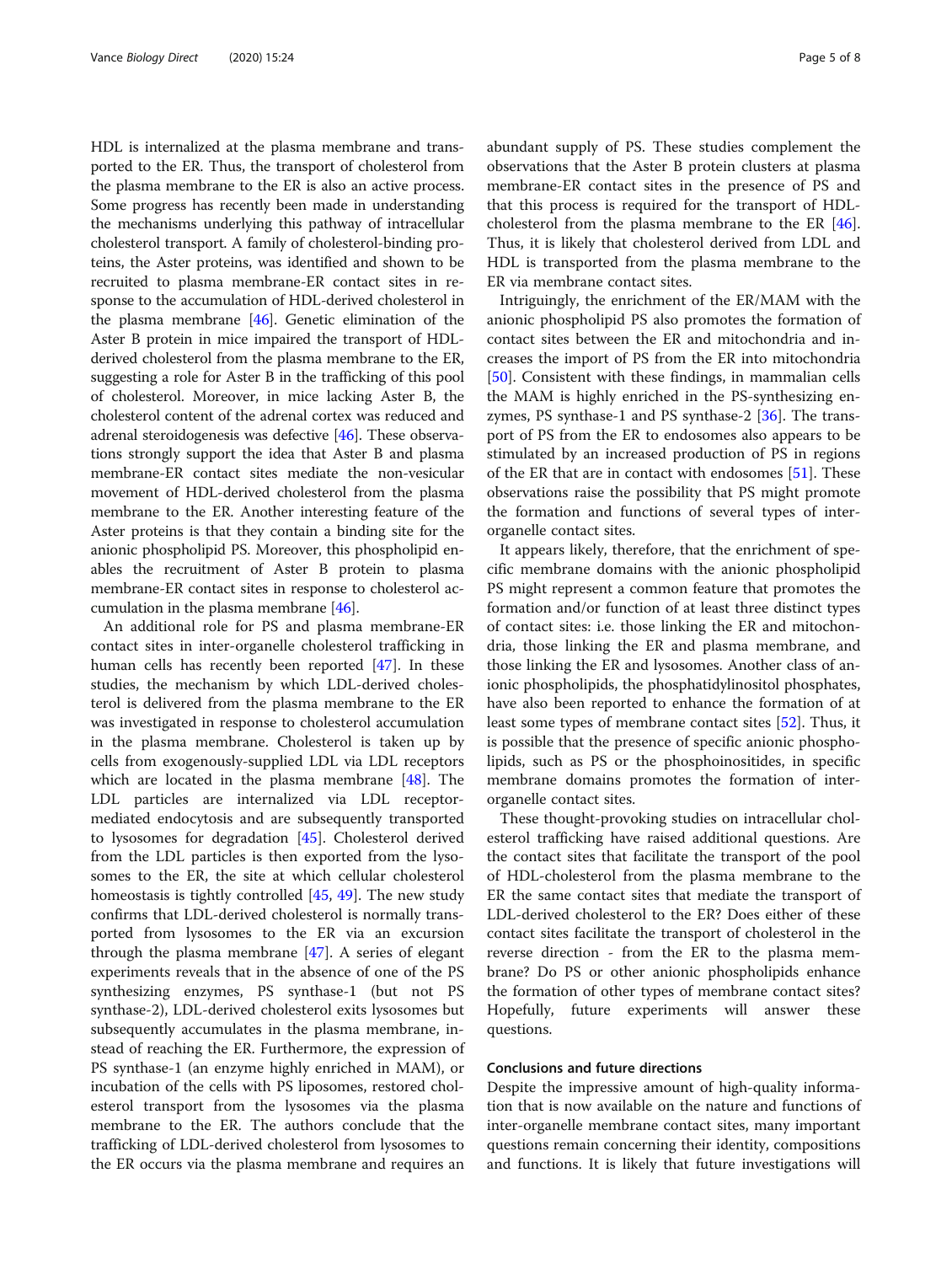HDL is internalized at the plasma membrane and transported to the ER. Thus, the transport of cholesterol from the plasma membrane to the ER is also an active process. Some progress has recently been made in understanding the mechanisms underlying this pathway of intracellular cholesterol transport. A family of cholesterol-binding proteins, the Aster proteins, was identified and shown to be recruited to plasma membrane-ER contact sites in response to the accumulation of HDL-derived cholesterol in the plasma membrane [[46](#page-6-0)]. Genetic elimination of the Aster B protein in mice impaired the transport of HDLderived cholesterol from the plasma membrane to the ER, suggesting a role for Aster B in the trafficking of this pool of cholesterol. Moreover, in mice lacking Aster B, the cholesterol content of the adrenal cortex was reduced and adrenal steroidogenesis was defective [[46](#page-6-0)]. These observations strongly support the idea that Aster B and plasma membrane-ER contact sites mediate the non-vesicular movement of HDL-derived cholesterol from the plasma membrane to the ER. Another interesting feature of the Aster proteins is that they contain a binding site for the anionic phospholipid PS. Moreover, this phospholipid enables the recruitment of Aster B protein to plasma membrane-ER contact sites in response to cholesterol accumulation in the plasma membrane [\[46\]](#page-6-0).

An additional role for PS and plasma membrane-ER contact sites in inter-organelle cholesterol trafficking in human cells has recently been reported [[47\]](#page-6-0). In these studies, the mechanism by which LDL-derived cholesterol is delivered from the plasma membrane to the ER was investigated in response to cholesterol accumulation in the plasma membrane. Cholesterol is taken up by cells from exogenously-supplied LDL via LDL receptors which are located in the plasma membrane [\[48\]](#page-7-0). The LDL particles are internalized via LDL receptormediated endocytosis and are subsequently transported to lysosomes for degradation [[45\]](#page-6-0). Cholesterol derived from the LDL particles is then exported from the lysosomes to the ER, the site at which cellular cholesterol homeostasis is tightly controlled [[45,](#page-6-0) [49\]](#page-7-0). The new study confirms that LDL-derived cholesterol is normally transported from lysosomes to the ER via an excursion through the plasma membrane [\[47](#page-6-0)]. A series of elegant experiments reveals that in the absence of one of the PS synthesizing enzymes, PS synthase-1 (but not PS synthase-2), LDL-derived cholesterol exits lysosomes but subsequently accumulates in the plasma membrane, instead of reaching the ER. Furthermore, the expression of PS synthase-1 (an enzyme highly enriched in MAM), or incubation of the cells with PS liposomes, restored cholesterol transport from the lysosomes via the plasma membrane to the ER. The authors conclude that the trafficking of LDL-derived cholesterol from lysosomes to the ER occurs via the plasma membrane and requires an abundant supply of PS. These studies complement the observations that the Aster B protein clusters at plasma membrane-ER contact sites in the presence of PS and that this process is required for the transport of HDLcholesterol from the plasma membrane to the ER [\[46](#page-6-0)]. Thus, it is likely that cholesterol derived from LDL and HDL is transported from the plasma membrane to the ER via membrane contact sites.

Intriguingly, the enrichment of the ER/MAM with the anionic phospholipid PS also promotes the formation of contact sites between the ER and mitochondria and increases the import of PS from the ER into mitochondria [[50\]](#page-7-0). Consistent with these findings, in mammalian cells the MAM is highly enriched in the PS-synthesizing enzymes, PS synthase-1 and PS synthase-2 [[36\]](#page-6-0). The transport of PS from the ER to endosomes also appears to be stimulated by an increased production of PS in regions of the ER that are in contact with endosomes [\[51\]](#page-7-0). These observations raise the possibility that PS might promote the formation and functions of several types of interorganelle contact sites.

It appears likely, therefore, that the enrichment of specific membrane domains with the anionic phospholipid PS might represent a common feature that promotes the formation and/or function of at least three distinct types of contact sites: i.e. those linking the ER and mitochondria, those linking the ER and plasma membrane, and those linking the ER and lysosomes. Another class of anionic phospholipids, the phosphatidylinositol phosphates, have also been reported to enhance the formation of at least some types of membrane contact sites [[52\]](#page-7-0). Thus, it is possible that the presence of specific anionic phospholipids, such as PS or the phosphoinositides, in specific membrane domains promotes the formation of interorganelle contact sites.

These thought-provoking studies on intracellular cholesterol trafficking have raised additional questions. Are the contact sites that facilitate the transport of the pool of HDL-cholesterol from the plasma membrane to the ER the same contact sites that mediate the transport of LDL-derived cholesterol to the ER? Does either of these contact sites facilitate the transport of cholesterol in the reverse direction - from the ER to the plasma membrane? Do PS or other anionic phospholipids enhance the formation of other types of membrane contact sites? Hopefully, future experiments will answer these questions.

#### Conclusions and future directions

Despite the impressive amount of high-quality information that is now available on the nature and functions of inter-organelle membrane contact sites, many important questions remain concerning their identity, compositions and functions. It is likely that future investigations will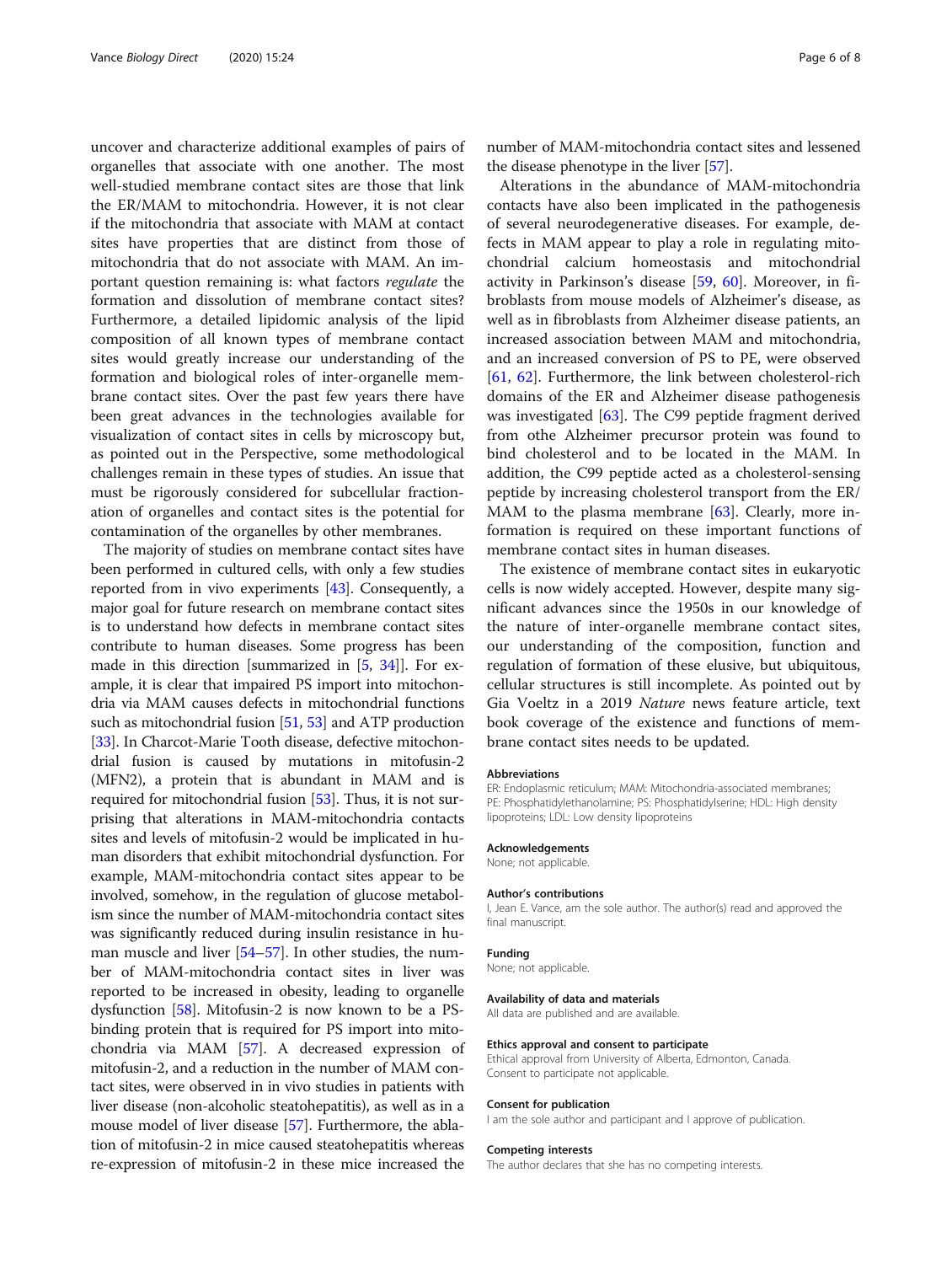uncover and characterize additional examples of pairs of organelles that associate with one another. The most well-studied membrane contact sites are those that link the ER/MAM to mitochondria. However, it is not clear if the mitochondria that associate with MAM at contact sites have properties that are distinct from those of mitochondria that do not associate with MAM. An important question remaining is: what factors regulate the formation and dissolution of membrane contact sites? Furthermore, a detailed lipidomic analysis of the lipid composition of all known types of membrane contact sites would greatly increase our understanding of the formation and biological roles of inter-organelle membrane contact sites. Over the past few years there have been great advances in the technologies available for visualization of contact sites in cells by microscopy but, as pointed out in the Perspective, some methodological challenges remain in these types of studies. An issue that must be rigorously considered for subcellular fractionation of organelles and contact sites is the potential for contamination of the organelles by other membranes.

The majority of studies on membrane contact sites have been performed in cultured cells, with only a few studies reported from in vivo experiments [[43](#page-6-0)]. Consequently, a major goal for future research on membrane contact sites is to understand how defects in membrane contact sites contribute to human diseases. Some progress has been made in this direction [summarized in [\[5](#page-6-0), [34](#page-6-0)]]. For example, it is clear that impaired PS import into mitochondria via MAM causes defects in mitochondrial functions such as mitochondrial fusion [[51](#page-7-0), [53\]](#page-7-0) and ATP production [[33](#page-6-0)]. In Charcot-Marie Tooth disease, defective mitochondrial fusion is caused by mutations in mitofusin-2 (MFN2), a protein that is abundant in MAM and is required for mitochondrial fusion [\[53](#page-7-0)]. Thus, it is not surprising that alterations in MAM-mitochondria contacts sites and levels of mitofusin-2 would be implicated in human disorders that exhibit mitochondrial dysfunction. For example, MAM-mitochondria contact sites appear to be involved, somehow, in the regulation of glucose metabolism since the number of MAM-mitochondria contact sites was significantly reduced during insulin resistance in human muscle and liver [\[54](#page-7-0)–[57](#page-7-0)]. In other studies, the number of MAM-mitochondria contact sites in liver was reported to be increased in obesity, leading to organelle dysfunction [\[58](#page-7-0)]. Mitofusin-2 is now known to be a PSbinding protein that is required for PS import into mitochondria via MAM [\[57\]](#page-7-0). A decreased expression of mitofusin-2, and a reduction in the number of MAM contact sites, were observed in in vivo studies in patients with liver disease (non-alcoholic steatohepatitis), as well as in a mouse model of liver disease [[57](#page-7-0)]. Furthermore, the ablation of mitofusin-2 in mice caused steatohepatitis whereas re-expression of mitofusin-2 in these mice increased the number of MAM-mitochondria contact sites and lessened the disease phenotype in the liver [[57](#page-7-0)].

Alterations in the abundance of MAM-mitochondria contacts have also been implicated in the pathogenesis of several neurodegenerative diseases. For example, defects in MAM appear to play a role in regulating mitochondrial calcium homeostasis and mitochondrial activity in Parkinson's disease [\[59](#page-7-0), [60](#page-7-0)]. Moreover, in fibroblasts from mouse models of Alzheimer's disease, as well as in fibroblasts from Alzheimer disease patients, an increased association between MAM and mitochondria, and an increased conversion of PS to PE, were observed [[61,](#page-7-0) [62\]](#page-7-0). Furthermore, the link between cholesterol-rich domains of the ER and Alzheimer disease pathogenesis was investigated [[63](#page-7-0)]. The C99 peptide fragment derived from othe Alzheimer precursor protein was found to bind cholesterol and to be located in the MAM. In addition, the C99 peptide acted as a cholesterol-sensing peptide by increasing cholesterol transport from the ER/ MAM to the plasma membrane  $[63]$  $[63]$ . Clearly, more information is required on these important functions of membrane contact sites in human diseases.

The existence of membrane contact sites in eukaryotic cells is now widely accepted. However, despite many significant advances since the 1950s in our knowledge of the nature of inter-organelle membrane contact sites, our understanding of the composition, function and regulation of formation of these elusive, but ubiquitous, cellular structures is still incomplete. As pointed out by Gia Voeltz in a 2019 Nature news feature article, text book coverage of the existence and functions of membrane contact sites needs to be updated.

#### Abbreviations

ER: Endoplasmic reticulum; MAM: Mitochondria-associated membranes; PE: Phosphatidylethanolamine; PS: Phosphatidylserine; HDL: High density lipoproteins; LDL: Low density lipoproteins

#### Acknowledgements

None; not applicable.

#### Author's contributions

I, Jean E. Vance, am the sole author. The author(s) read and approved the final manuscript

#### Funding

None; not applicable.

#### Availability of data and materials

All data are published and are available.

#### Ethics approval and consent to participate

Ethical approval from University of Alberta, Edmonton, Canada. Consent to participate not applicable.

#### Consent for publication

I am the sole author and participant and I approve of publication.

#### Competing interests

The author declares that she has no competing interests.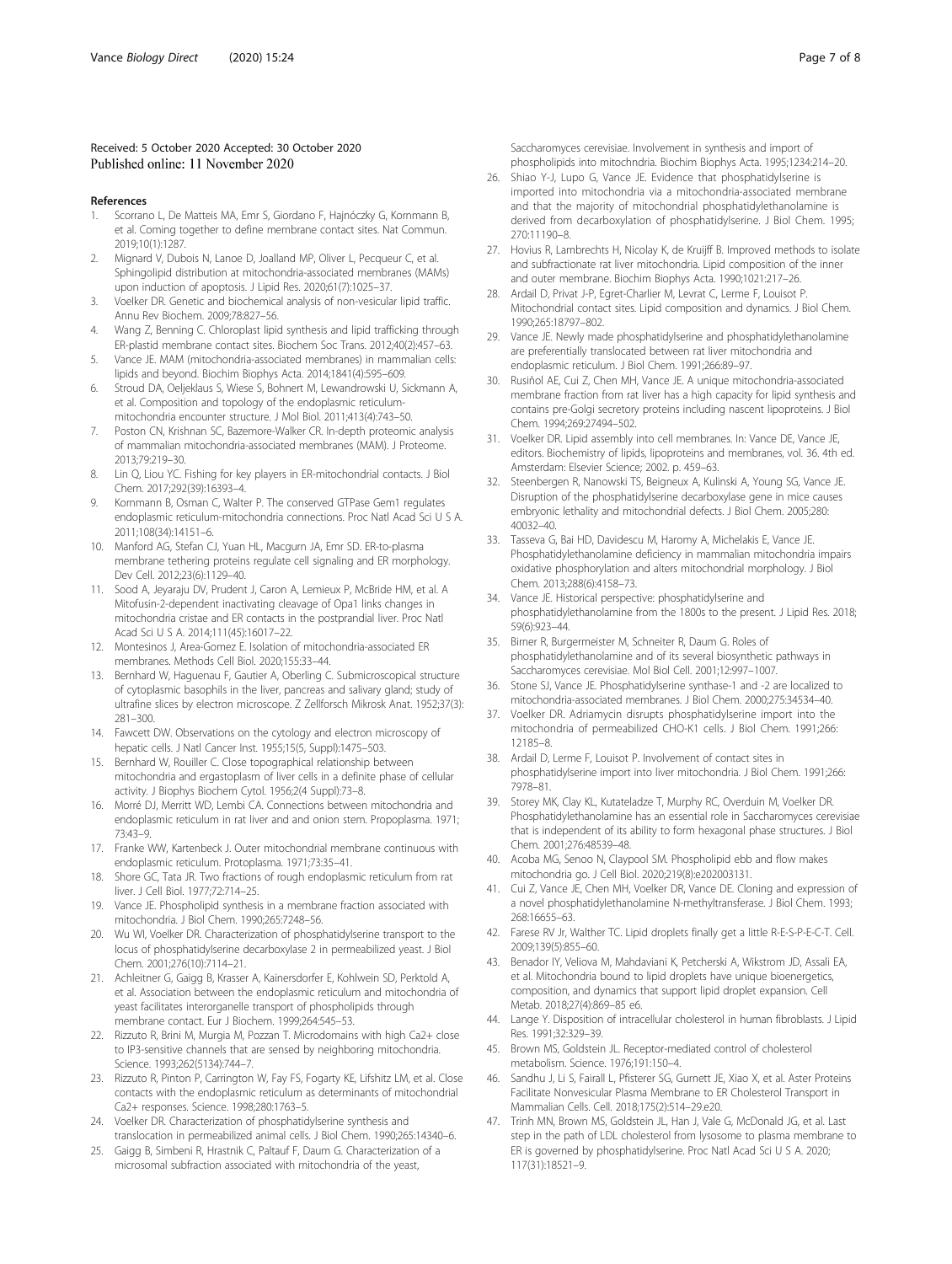### <span id="page-6-0"></span>Received: 5 October 2020 Accepted: 30 October 2020 Published online: 11 November 2020

#### References

- 1. Scorrano L, De Matteis MA, Emr S, Giordano F, Hajnóczky G, Kornmann B, et al. Coming together to define membrane contact sites. Nat Commun. 2019;10(1):1287.
- 2. Mignard V, Dubois N, Lanoe D, Joalland MP, Oliver L, Pecqueur C, et al. Sphingolipid distribution at mitochondria-associated membranes (MAMs) upon induction of apoptosis. J Lipid Res. 2020;61(7):1025–37.
- 3. Voelker DR. Genetic and biochemical analysis of non-vesicular lipid traffic. Annu Rev Biochem. 2009;78:827–56.
- 4. Wang Z, Benning C. Chloroplast lipid synthesis and lipid trafficking through ER-plastid membrane contact sites. Biochem Soc Trans. 2012;40(2):457–63.
- 5. Vance JE. MAM (mitochondria-associated membranes) in mammalian cells: lipids and beyond. Biochim Biophys Acta. 2014;1841(4):595–609.
- 6. Stroud DA, Oeljeklaus S, Wiese S, Bohnert M, Lewandrowski U, Sickmann A, et al. Composition and topology of the endoplasmic reticulummitochondria encounter structure. J Mol Biol. 2011;413(4):743–50.
- 7. Poston CN, Krishnan SC, Bazemore-Walker CR. In-depth proteomic analysis of mammalian mitochondria-associated membranes (MAM). J Proteome. 2013;79:219–30.
- 8. Lin Q, Liou YC. Fishing for key players in ER-mitochondrial contacts. J Biol Chem. 2017;292(39):16393–4.
- 9. Kornmann B, Osman C, Walter P. The conserved GTPase Gem1 regulates endoplasmic reticulum-mitochondria connections. Proc Natl Acad Sci U S A. 2011;108(34):14151–6.
- 10. Manford AG, Stefan CJ, Yuan HL, Macgurn JA, Emr SD. ER-to-plasma membrane tethering proteins regulate cell signaling and ER morphology. Dev Cell. 2012;23(6):1129–40.
- 11. Sood A, Jeyaraju DV, Prudent J, Caron A, Lemieux P, McBride HM, et al. A Mitofusin-2-dependent inactivating cleavage of Opa1 links changes in mitochondria cristae and ER contacts in the postprandial liver. Proc Natl Acad Sci U S A. 2014;111(45):16017–22.
- 12. Montesinos J, Area-Gomez E. Isolation of mitochondria-associated ER membranes. Methods Cell Biol. 2020;155:33–44.
- 13. Bernhard W, Haguenau F, Gautier A, Oberling C. Submicroscopical structure of cytoplasmic basophils in the liver, pancreas and salivary gland; study of ultrafine slices by electron microscope. Z Zellforsch Mikrosk Anat. 1952;37(3): 281–300.
- 14. Fawcett DW. Observations on the cytology and electron microscopy of hepatic cells. J Natl Cancer Inst. 1955;15(5, Suppl):1475–503.
- 15. Bernhard W, Rouiller C. Close topographical relationship between mitochondria and ergastoplasm of liver cells in a definite phase of cellular activity. J Biophys Biochem Cytol. 1956;2(4 Suppl):73–8.
- 16. Morré DJ, Merritt WD, Lembi CA. Connections between mitochondria and endoplasmic reticulum in rat liver and and onion stem. Propoplasma. 1971; 73:43–9.
- 17. Franke WW, Kartenbeck J. Outer mitochondrial membrane continuous with endoplasmic reticulum. Protoplasma. 1971;73:35–41.
- 18. Shore GC, Tata JR. Two fractions of rough endoplasmic reticulum from rat liver. J Cell Biol. 1977;72:714–25.
- 19. Vance JE. Phospholipid synthesis in a membrane fraction associated with mitochondria. J Biol Chem. 1990;265:7248–56.
- 20. Wu WI, Voelker DR. Characterization of phosphatidylserine transport to the locus of phosphatidylserine decarboxylase 2 in permeabilized yeast. J Biol Chem. 2001;276(10):7114–21.
- 21. Achleitner G, Gaigg B, Krasser A, Kainersdorfer E, Kohlwein SD, Perktold A, et al. Association between the endoplasmic reticulum and mitochondria of yeast facilitates interorganelle transport of phospholipids through membrane contact. Eur J Biochem. 1999;264:545–53.
- 22. Rizzuto R, Brini M, Murgia M, Pozzan T. Microdomains with high Ca2+ close to IP3-sensitive channels that are sensed by neighboring mitochondria. Science. 1993;262(5134):744–7.
- 23. Rizzuto R, Pinton P, Carrington W, Fay FS, Fogarty KE, Lifshitz LM, et al. Close contacts with the endoplasmic reticulum as determinants of mitochondrial Ca2+ responses. Science. 1998;280:1763–5.
- 24. Voelker DR. Characterization of phosphatidylserine synthesis and translocation in permeabilized animal cells. J Biol Chem. 1990;265:14340–6.
- 25. Gaigg B, Simbeni R, Hrastnik C, Paltauf F, Daum G. Characterization of a microsomal subfraction associated with mitochondria of the yeast,

Saccharomyces cerevisiae. Involvement in synthesis and import of phospholipids into mitochndria. Biochim Biophys Acta. 1995;1234:214–20.

- 26. Shiao Y-J, Lupo G, Vance JE. Evidence that phosphatidylserine is imported into mitochondria via a mitochondria-associated membrane and that the majority of mitochondrial phosphatidylethanolamine is derived from decarboxylation of phosphatidylserine. J Biol Chem. 1995; 270:11190–8.
- 27. Hovius R, Lambrechts H, Nicolay K, de Kruijff B. Improved methods to isolate and subfractionate rat liver mitochondria. Lipid composition of the inner and outer membrane. Biochim Biophys Acta. 1990;1021:217–26.
- 28. Ardail D, Privat J-P, Egret-Charlier M, Levrat C, Lerme F, Louisot P. Mitochondrial contact sites. Lipid composition and dynamics. J Biol Chem. 1990;265:18797–802.
- 29. Vance JE. Newly made phosphatidylserine and phosphatidylethanolamine are preferentially translocated between rat liver mitochondria and endoplasmic reticulum. J Biol Chem. 1991;266:89–97.
- 30. Rusiñol AE, Cui Z, Chen MH, Vance JE. A unique mitochondria-associated membrane fraction from rat liver has a high capacity for lipid synthesis and contains pre-Golgi secretory proteins including nascent lipoproteins. J Biol Chem. 1994;269:27494–502.
- 31. Voelker DR. Lipid assembly into cell membranes. In: Vance DE, Vance JE, editors. Biochemistry of lipids, lipoproteins and membranes, vol. 36. 4th ed. Amsterdam: Elsevier Science; 2002. p. 459–63.
- 32. Steenbergen R, Nanowski TS, Beigneux A, Kulinski A, Young SG, Vance JE. Disruption of the phosphatidylserine decarboxylase gene in mice causes embryonic lethality and mitochondrial defects. J Biol Chem. 2005;280: 40032–40.
- 33. Tasseva G, Bai HD, Davidescu M, Haromy A, Michelakis E, Vance JE. Phosphatidylethanolamine deficiency in mammalian mitochondria impairs oxidative phosphorylation and alters mitochondrial morphology. J Biol Chem. 2013;288(6):4158–73.
- 34. Vance JE. Historical perspective: phosphatidylserine and phosphatidylethanolamine from the 1800s to the present. J Lipid Res. 2018; 59(6):923–44.
- 35. Birner R, Burgermeister M, Schneiter R, Daum G. Roles of phosphatidylethanolamine and of its several biosynthetic pathways in Saccharomyces cerevisiae. Mol Biol Cell. 2001;12:997–1007.
- 36. Stone SJ, Vance JE. Phosphatidylserine synthase-1 and -2 are localized to mitochondria-associated membranes. J Biol Chem. 2000;275:34534–40.
- 37. Voelker DR. Adriamycin disrupts phosphatidylserine import into the mitochondria of permeabilized CHO-K1 cells. J Biol Chem. 1991;266: 12185–8.
- Ardail D, Lerme F, Louisot P. Involvement of contact sites in phosphatidylserine import into liver mitochondria. J Biol Chem. 1991;266: 7978–81.
- 39. Storey MK, Clay KL, Kutateladze T, Murphy RC, Overduin M, Voelker DR. Phosphatidylethanolamine has an essential role in Saccharomyces cerevisiae that is independent of its ability to form hexagonal phase structures. J Biol Chem. 2001;276:48539–48.
- 40. Acoba MG, Senoo N, Claypool SM. Phospholipid ebb and flow makes mitochondria go. J Cell Biol. 2020;219(8):e202003131.
- 41. Cui Z, Vance JE, Chen MH, Voelker DR, Vance DE. Cloning and expression of a novel phosphatidylethanolamine N-methyltransferase. J Biol Chem. 1993; 268:16655–63.
- 42. Farese RV Jr, Walther TC. Lipid droplets finally get a little R-E-S-P-E-C-T. Cell. 2009;139(5):855–60.
- 43. Benador IY, Veliova M, Mahdaviani K, Petcherski A, Wikstrom JD, Assali EA, et al. Mitochondria bound to lipid droplets have unique bioenergetics, composition, and dynamics that support lipid droplet expansion. Cell Metab. 2018;27(4):869–85 e6.
- 44. Lange Y. Disposition of intracellular cholesterol in human fibroblasts. J Lipid Res. 1991;32:329–39.
- 45. Brown MS, Goldstein JL. Receptor-mediated control of cholesterol metabolism. Science. 1976;191:150–4.
- 46. Sandhu J, Li S, Fairall L, Pfisterer SG, Gurnett JE, Xiao X, et al. Aster Proteins Facilitate Nonvesicular Plasma Membrane to ER Cholesterol Transport in Mammalian Cells. Cell. 2018;175(2):514–29.e20.
- 47. Trinh MN, Brown MS, Goldstein JL, Han J, Vale G, McDonald JG, et al. Last step in the path of LDL cholesterol from lysosome to plasma membrane to ER is governed by phosphatidylserine. Proc Natl Acad Sci U S A. 2020; 117(31):18521–9.